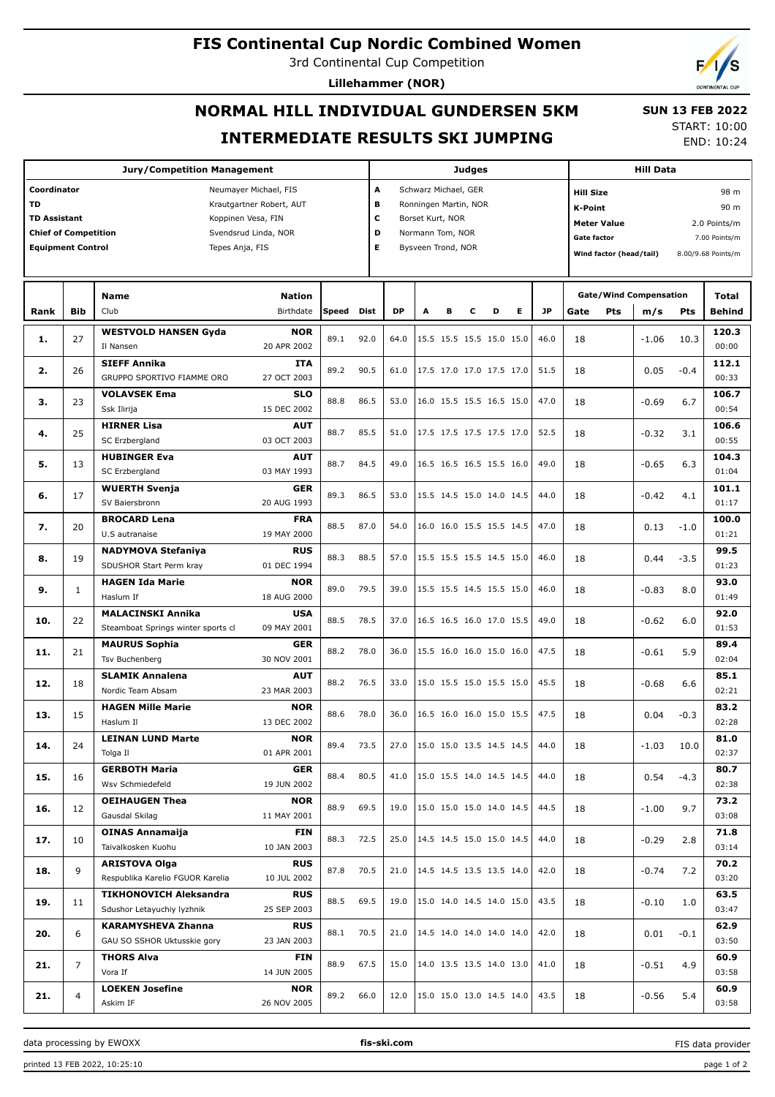## **FIS Continental Cup Nordic Combined Women**

3rd Continental Cup Competition

**Lillehammer (NOR)**

# **NORMAL HILL INDIVIDUAL GUNDERSEN 5KM INTERMEDIATE RESULTS SKI JUMPING**

START: 10:00 END: 10:24

 **SUN 13 FEB 2022**

|                             |                | <b>Jury/Competition Management</b>                |       | <b>Judges</b>                            |                            |      |                    |         |                                      |                | <b>Hill Data</b> |                               |         |              |                                                                                                                                                                                                                                                                                            |
|-----------------------------|----------------|---------------------------------------------------|-------|------------------------------------------|----------------------------|------|--------------------|---------|--------------------------------------|----------------|------------------|-------------------------------|---------|--------------|--------------------------------------------------------------------------------------------------------------------------------------------------------------------------------------------------------------------------------------------------------------------------------------------|
| Coordinator                 |                | A<br>Schwarz Michael, GER                         |       |                                          |                            |      |                    |         | 98 m<br><b>Hill Size</b>             |                |                  |                               |         |              |                                                                                                                                                                                                                                                                                            |
| <b>TD</b>                   |                | Krautgartner Robert, AUT                          |       |                                          | в<br>Ronningen Martin, NOR |      |                    |         |                                      |                | K-Point          |                               |         |              |                                                                                                                                                                                                                                                                                            |
| <b>TD Assistant</b>         |                | Koppinen Vesa, FIN                                |       |                                          | c<br>Borset Kurt, NOR      |      |                    |         |                                      |                |                  |                               |         |              |                                                                                                                                                                                                                                                                                            |
| <b>Chief of Competition</b> |                | D<br>Normann Tom, NOR                             |       |                                          |                            |      |                    |         | <b>Meter Value</b>                   |                |                  |                               |         |              |                                                                                                                                                                                                                                                                                            |
| <b>Equipment Control</b>    |                | Svendsrud Linda, NOR<br>Tepes Anja, FIS           |       | E                                        |                            |      | Bysveen Trond, NOR |         |                                      |                |                  | <b>Gate factor</b>            |         |              |                                                                                                                                                                                                                                                                                            |
|                             |                |                                                   |       |                                          |                            |      |                    |         |                                      |                |                  | Wind factor (head/tail)       |         |              |                                                                                                                                                                                                                                                                                            |
|                             |                |                                                   |       |                                          |                            |      |                    |         |                                      |                |                  |                               |         |              |                                                                                                                                                                                                                                                                                            |
|                             |                | <b>Name</b><br><b>Nation</b>                      |       |                                          |                            |      |                    |         |                                      |                |                  | <b>Gate/Wind Compensation</b> |         | <b>Total</b> |                                                                                                                                                                                                                                                                                            |
| Rank                        | <b>Bib</b>     | Club<br>Birthdate                                 | Speed | Dist                                     | <b>DP</b>                  | A    | в                  | с       | D                                    | Е<br><b>JP</b> | Gate             | Pts                           | m/s     | Pts          | <b>Behind</b>                                                                                                                                                                                                                                                                              |
|                             |                | <b>WESTVOLD HANSEN Gyda</b><br><b>NOR</b>         |       |                                          |                            |      |                    |         |                                      |                |                  |                               |         |              |                                                                                                                                                                                                                                                                                            |
| 1.                          | 27             | Il Nansen<br>20 APR 2002                          | 89.1  | 92.0                                     | 64.0                       |      |                    |         | 15.5 15.5 15.5 15.0 15.0             | 46.0           | 18               |                               | $-1.06$ | 10.3         |                                                                                                                                                                                                                                                                                            |
|                             |                |                                                   |       |                                          |                            |      |                    |         |                                      |                |                  |                               |         |              |                                                                                                                                                                                                                                                                                            |
| 2.                          | 26             | <b>SIEFF Annika</b><br><b>ITA</b>                 | 89.2  | 90.5                                     | 61.0                       |      |                    |         | 17.5 17.0 17.0 17.5 17.0             | 51.5           | 18               |                               | 0.05    | $-0.4$       |                                                                                                                                                                                                                                                                                            |
|                             |                | GRUPPO SPORTIVO FIAMME ORO<br>27 OCT 2003         |       |                                          |                            |      |                    |         |                                      |                |                  |                               |         |              |                                                                                                                                                                                                                                                                                            |
| з.                          | 23             | <b>SLO</b><br><b>VOLAVSEK Ema</b>                 | 88.8  | 86.5                                     | 53.0                       |      |                    |         | 16.0 15.5 15.5 16.5 15.0             | 47.0           | 18               |                               | $-0.69$ | 6.7          | 106.7                                                                                                                                                                                                                                                                                      |
|                             |                | Ssk Ilirija<br>15 DEC 2002                        |       |                                          |                            |      |                    |         |                                      |                |                  |                               |         |              | 00:54                                                                                                                                                                                                                                                                                      |
|                             |                | <b>HIRNER Lisa</b><br><b>AUT</b>                  |       |                                          |                            |      |                    |         |                                      |                |                  |                               |         |              | 106.6                                                                                                                                                                                                                                                                                      |
| 4.                          | 25             | SC Erzbergland<br>03 OCT 2003                     | 88.7  | 85.5                                     | 51.0                       |      |                    |         | 17.5 17.5 17.5 17.5 17.0             | 52.5           | 18               |                               | $-0.32$ | 3.1          | 00:55                                                                                                                                                                                                                                                                                      |
|                             |                | <b>HUBINGER Eva</b><br><b>AUT</b>                 |       |                                          |                            |      |                    |         |                                      |                |                  |                               |         |              |                                                                                                                                                                                                                                                                                            |
| 5.                          | 13             | SC Erzbergland<br>03 MAY 1993                     | 88.7  | 84.5                                     | 49.0                       |      |                    |         | 16.5 16.5 16.5 15.5 16.0             | 49.0           | 18               |                               | $-0.65$ | 6.3          | 104.3<br>01:04<br>101.1<br>01:17<br>100.0<br>01:21<br>99.5<br>01:23<br>93.0<br>01:49<br>92.0<br>01:53<br>89.4                                                                                                                                                                              |
|                             |                |                                                   |       |                                          |                            |      |                    |         |                                      |                |                  |                               |         |              |                                                                                                                                                                                                                                                                                            |
| 6.                          | 17             | <b>WUERTH Svenja</b><br><b>GER</b>                | 89.3  | 86.5                                     | 53.0                       |      |                    |         | 15.5 14.5 15.0 14.0 14.5             | 44.0           | 18               |                               | $-0.42$ | 4.1          |                                                                                                                                                                                                                                                                                            |
|                             |                | 20 AUG 1993<br>SV Baiersbronn                     |       |                                          |                            |      |                    |         |                                      |                |                  |                               |         |              |                                                                                                                                                                                                                                                                                            |
| 7.                          |                | <b>BROCARD Lena</b><br><b>FRA</b>                 | 88.5  | 87.0                                     | 54.0                       |      |                    |         | 16.0 16.0 15.5 15.5 14.5             | 47.0           |                  |                               |         |              | 90 m<br>2.0 Points/m<br>7.00 Points/m<br>8.00/9.68 Points/m<br>120.3<br>00:00<br>112.1<br>00:33<br>02:04<br>85.1<br>02:21<br>83.2<br>02:28<br>81.0<br>02:37<br>80.7<br>02:38<br>73.2<br>03:08<br>71.8<br>03:14<br>70.2<br>03:20<br>63.5<br>03:47<br>62.9<br>03:50<br>60.9<br>03:58<br>60.9 |
|                             | 20             | U.S autranaise<br>19 MAY 2000                     |       |                                          |                            |      |                    |         |                                      |                | 18               |                               | 0.13    | $-1.0$       |                                                                                                                                                                                                                                                                                            |
| 8.                          |                | <b>NADYMOVA Stefaniya</b><br><b>RUS</b>           |       |                                          |                            |      |                    |         |                                      |                |                  |                               |         |              |                                                                                                                                                                                                                                                                                            |
|                             | 19             | SDUSHOR Start Perm kray<br>01 DEC 1994            | 88.3  | 88.5                                     | 57.0                       |      |                    |         | 15.5 15.5 15.5 14.5 15.0             | 46.0           | 18               |                               | 0.44    | $-3.5$       |                                                                                                                                                                                                                                                                                            |
|                             |                | <b>NOR</b><br><b>HAGEN Ida Marie</b>              |       |                                          |                            |      |                    |         |                                      |                |                  |                               |         |              |                                                                                                                                                                                                                                                                                            |
| 9.                          | $\mathbf{1}$   |                                                   | 89.0  | 79.5                                     | 39.0                       |      |                    |         | 15.5 15.5 14.5 15.5 15.0             | 46.0           | 18               |                               | $-0.83$ | 8.0          |                                                                                                                                                                                                                                                                                            |
|                             |                | Haslum If<br>18 AUG 2000                          |       |                                          |                            |      |                    |         |                                      |                |                  |                               |         |              |                                                                                                                                                                                                                                                                                            |
| 10.                         | 22             | <b>MALACINSKI Annika</b><br><b>USA</b>            | 88.5  | 78.5                                     | 37.0                       |      |                    |         | 16.5 16.5 16.0 17.0 15.5             | 49.0           | 18               |                               | $-0.62$ | 6.0          |                                                                                                                                                                                                                                                                                            |
|                             |                | Steamboat Springs winter sports cl<br>09 MAY 2001 |       |                                          |                            |      |                    |         |                                      |                |                  |                               |         |              |                                                                                                                                                                                                                                                                                            |
|                             | 21             | <b>MAURUS Sophia</b><br><b>GER</b>                | 88.2  | 78.0                                     | 36.0                       |      |                    |         | 15.5 16.0 16.0 15.0 16.0             | 47.5           |                  |                               |         |              |                                                                                                                                                                                                                                                                                            |
| 11.                         |                | Tsv Buchenberg<br>30 NOV 2001                     |       |                                          |                            |      |                    |         |                                      |                | 18               |                               | $-0.61$ | 5.9          |                                                                                                                                                                                                                                                                                            |
|                             |                | <b>SLAMIK Annalena</b><br><b>AUT</b>              |       |                                          |                            |      |                    |         |                                      |                |                  |                               |         |              |                                                                                                                                                                                                                                                                                            |
| 12.                         | 18             | Nordic Team Absam<br>23 MAR 2003                  | 88.2  | 76.5                                     | 33.0                       |      |                    |         | 15.0 15.5 15.0 15.5 15.0             | 45.5           | 18               |                               | $-0.68$ | 6.6          |                                                                                                                                                                                                                                                                                            |
|                             |                | <b>HAGEN Mille Marie</b><br><b>NOR</b>            |       |                                          |                            |      |                    |         |                                      |                |                  |                               |         |              |                                                                                                                                                                                                                                                                                            |
| 13.                         | 15             | 13 DEC 2002<br>Haslum II                          | 88.6  | 78.0                                     | 36.0                       |      |                    |         | 16.5 16.0 16.0 15.0 15.5             | 47.5           | 18               |                               | 0.04    | $-0.3$       |                                                                                                                                                                                                                                                                                            |
|                             |                |                                                   |       |                                          |                            |      |                    |         |                                      |                |                  |                               |         |              |                                                                                                                                                                                                                                                                                            |
| 14.                         | 24             | <b>LEINAN LUND Marte</b><br><b>NOR</b>            | 89.4  | 73.5                                     | 27.0                       |      |                    |         | $ 15.0 \t15.0 \t13.5 \t14.5 \t14.5 $ | 44.0           | 18               |                               | $-1.03$ | 10.0         |                                                                                                                                                                                                                                                                                            |
|                             |                | Tolga Il<br>01 APR 2001                           |       |                                          |                            |      |                    |         |                                      |                |                  |                               |         |              |                                                                                                                                                                                                                                                                                            |
| 15.                         | 16             | <b>GERBOTH Maria</b><br><b>GER</b>                | 88.4  | 80.5                                     | 41.0                       |      |                    |         | 15.0 15.5 14.0 14.5 14.5             | 44.0           | 18               |                               | 0.54    | $-4.3$       |                                                                                                                                                                                                                                                                                            |
|                             |                | Wsv Schmiedefeld<br>19 JUN 2002                   |       |                                          |                            |      |                    |         |                                      |                |                  |                               |         |              |                                                                                                                                                                                                                                                                                            |
|                             |                | <b>OEIHAUGEN Thea</b><br><b>NOR</b>               |       |                                          |                            |      |                    |         |                                      |                |                  |                               |         |              |                                                                                                                                                                                                                                                                                            |
| 16.                         | 12             | Gausdal Skilag<br>11 MAY 2001                     | 88.9  | 69.5<br>15.0 15.0 15.0 14.0 14.5<br>19.0 |                            | 44.5 | 18                 | $-1.00$ | 9.7                                  |                |                  |                               |         |              |                                                                                                                                                                                                                                                                                            |
|                             |                | <b>OINAS Annamaija</b><br><b>FIN</b>              |       | 72.5                                     |                            |      |                    |         |                                      |                |                  |                               |         |              |                                                                                                                                                                                                                                                                                            |
| 17.                         | 10             | Taivalkosken Kuohu<br>10 JAN 2003                 | 88.3  |                                          | 25.0                       |      |                    |         | 14.5 14.5 15.0 15.0 14.5             | 44.0           | 18               |                               | $-0.29$ | 2.8          |                                                                                                                                                                                                                                                                                            |
|                             |                |                                                   |       |                                          |                            |      |                    |         |                                      |                |                  |                               |         |              |                                                                                                                                                                                                                                                                                            |
| 18.                         | 9              | <b>ARISTOVA Olga</b><br><b>RUS</b>                | 87.8  | 70.5                                     | 21.0                       |      |                    |         | 14.5 14.5 13.5 13.5 14.0             | 42.0           | 18               |                               | $-0.74$ | 7.2          |                                                                                                                                                                                                                                                                                            |
|                             |                | Respublika Karelio FGUOR Karelia<br>10 JUL 2002   |       |                                          |                            |      |                    |         |                                      |                |                  |                               |         |              |                                                                                                                                                                                                                                                                                            |
| 19.                         | 11             | <b>TIKHONOVICH Aleksandra</b><br><b>RUS</b>       | 88.5  | 69.5                                     | 19.0                       |      |                    |         | 15.0 14.0 14.5 14.0 15.0             | 43.5           | 18               |                               | $-0.10$ |              |                                                                                                                                                                                                                                                                                            |
|                             |                | Sdushor Letayuchiy lyzhnik<br>25 SEP 2003         |       |                                          |                            |      |                    |         |                                      |                |                  |                               |         | 1.0          |                                                                                                                                                                                                                                                                                            |
|                             |                | KARAMYSHEVA Zhanna<br><b>RUS</b>                  |       |                                          |                            |      |                    |         |                                      |                |                  |                               |         |              |                                                                                                                                                                                                                                                                                            |
| 20.                         | 6              | GAU SO SSHOR Uktusskie gory<br>23 JAN 2003        | 88.1  | 70.5                                     | 21.0                       |      |                    |         | 14.5 14.0 14.0 14.0 14.0             | 42.0           | 18               |                               | 0.01    | -0.1         |                                                                                                                                                                                                                                                                                            |
|                             |                | <b>THORS Alva</b><br><b>FIN</b>                   |       |                                          |                            |      |                    |         |                                      |                |                  |                               |         |              |                                                                                                                                                                                                                                                                                            |
| 21.                         | $\overline{7}$ | Vora If                                           | 88.9  | 67.5                                     | 15.0                       |      |                    |         | 14.0 13.5 13.5 14.0 13.0             | 41.0           | 18               |                               | $-0.51$ | 4.9          |                                                                                                                                                                                                                                                                                            |
|                             |                | 14 JUN 2005                                       |       |                                          |                            |      |                    |         |                                      |                |                  |                               |         |              |                                                                                                                                                                                                                                                                                            |
| 21.                         | 4              | <b>LOEKEN Josefine</b><br><b>NOR</b>              | 89.2  | 66.0                                     | 12.0                       |      |                    |         | 15.0 15.0 13.0 14.5 14.0             | 43.5           | 18               |                               | $-0.56$ | 5.4          |                                                                                                                                                                                                                                                                                            |
|                             |                | 26 NOV 2005<br>Askim IF                           |       |                                          |                            |      |                    |         |                                      |                |                  |                               |         |              | 03:58                                                                                                                                                                                                                                                                                      |

data processing by EWOXX **fis-ski.com**

FIS data provider